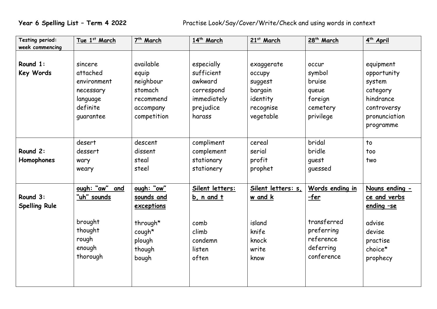| Testing period:<br>week commencing | Tue 1st March  | 7 <sup>th</sup> March | 14 <sup>th</sup> March | 21st March         | 28 <sup>th</sup> March | 4 <sup>th</sup> April |
|------------------------------------|----------------|-----------------------|------------------------|--------------------|------------------------|-----------------------|
|                                    |                |                       |                        |                    |                        |                       |
|                                    |                |                       |                        |                    |                        |                       |
| Round 1:                           | sincere        | available             | especially             | exaggerate         | occur                  | equipment             |
| Key Words                          | attached       | equip                 | sufficient             | occupy             | symbol                 | opportunity           |
|                                    | environment    | neighbour             | awkward                | suggest            | bruise                 | system                |
|                                    | necessary      | stomach               | correspond             | bargain            | queue                  | category              |
|                                    | language       | recommend             | immediately            | identity           | foreign                | hindrance             |
|                                    | definite       | accompany             | prejudice              | recognise          | cemetery               | controversy           |
|                                    | quarantee      | competition           | harass                 | vegetable          | privilege              | pronunciation         |
|                                    |                |                       |                        |                    |                        | programme             |
|                                    |                |                       |                        |                    |                        |                       |
|                                    | desert         | descent               | compliment             | cereal             | bridal                 | to                    |
| Round 2:                           | dessert        | dissent               | complement             | serial             | bridle                 | too                   |
| Homophones                         | wary           | steal                 | stationary             | profit             | quest                  | two                   |
|                                    | weary          | steel                 | stationery             | prophet            | quessed                |                       |
|                                    |                |                       |                        |                    |                        |                       |
|                                    | ough: "aw" and | ough: "ow"            | Silent letters:        | Silent letters: s, | Words ending in        | Nouns ending -        |
| Round 3:                           | "uh" sounds    | sounds and            | b, n and t             | w and k            | <u>-fer</u>            | ce and verbs          |
| <b>Spelling Rule</b>               |                | exceptions            |                        |                    |                        | ending -se            |
|                                    |                |                       |                        |                    |                        |                       |
|                                    | brought        | through*              | comb                   | island             | transferred            | advise                |
|                                    | thought        | cough*                | climb                  | knife              | preferring             | devise                |
|                                    | rough          | plough                | condemn                | knock              | reference              | practise              |
|                                    | enough         | though                | listen                 | write              | deferring              | choice*               |
|                                    | thorough       | bough                 | often                  | know               | conference             | prophecy              |
|                                    |                |                       |                        |                    |                        |                       |
|                                    |                |                       |                        |                    |                        |                       |
|                                    |                |                       |                        |                    |                        |                       |